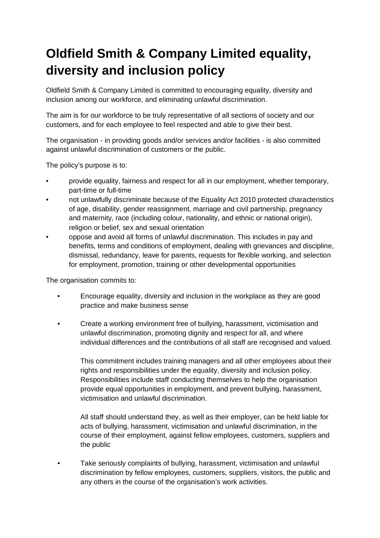## **Oldfield Smith & Company Limited equality, diversity and inclusion policy**

Oldfield Smith & Company Limited is committed to encouraging equality, diversity and inclusion among our workforce, and eliminating unlawful discrimination.

The aim is for our workforce to be truly representative of all sections of society and our customers, and for each employee to feel respected and able to give their best.

The organisation - in providing goods and/or services and/or facilities - is also committed against unlawful discrimination of customers or the public.

The policy's purpose is to:

- provide equality, fairness and respect for all in our employment, whether temporary, part-time or full-time
- not unlawfully discriminate because of the Equality Act 2010 protected characteristics of age, disability, gender reassignment, marriage and civil partnership, pregnancy and maternity, race (including colour, nationality, and ethnic or national origin), religion or belief, sex and sexual orientation
- oppose and avoid all forms of unlawful discrimination. This includes in pay and benefits, terms and conditions of employment, dealing with grievances and discipline, dismissal, redundancy, leave for parents, requests for flexible working, and selection for employment, promotion, training or other developmental opportunities

The organisation commits to:

- Encourage equality, diversity and inclusion in the workplace as they are good practice and make business sense
- Create a working environment free of bullying, harassment, victimisation and unlawful discrimination, promoting dignity and respect for all, and where individual differences and the contributions of all staff are recognised and valued.

This commitment includes training managers and all other employees about their rights and responsibilities under the equality, diversity and inclusion policy. Responsibilities include staff conducting themselves to help the organisation provide equal opportunities in employment, and prevent bullying, harassment, victimisation and unlawful discrimination.

All staff should understand they, as well as their employer, can be held liable for acts of bullying, harassment, victimisation and unlawful discrimination, in the course of their employment, against fellow employees, customers, suppliers and the public

• Take seriously complaints of bullying, harassment, victimisation and unlawful discrimination by fellow employees, customers, suppliers, visitors, the public and any others in the course of the organisation's work activities.